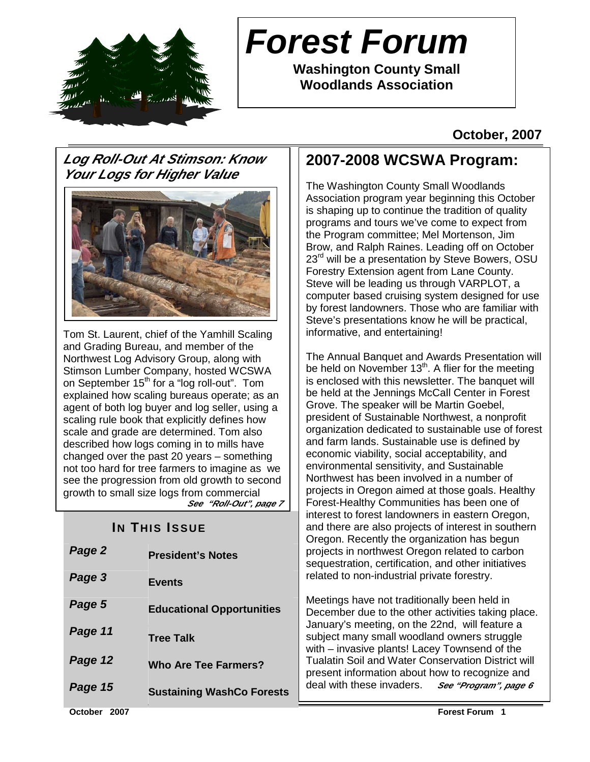

## **Forest Forum**

**Washington County Small Woodlands Association** 

#### **October, 2007**

#### **Log Roll-Out At Stimson: Know Your Logs for Higher Value**



Tom St. Laurent, chief of the Yamhill Scaling and Grading Bureau, and member of the Northwest Log Advisory Group, along with Stimson Lumber Company, hosted WCSWA on September 15<sup>th</sup> for a "log roll-out". Tom explained how scaling bureaus operate; as an agent of both log buyer and log seller, using a scaling rule book that explicitly defines how scale and grade are determined. Tom also described how logs coming in to mills have changed over the past 20 years – something not too hard for tree farmers to imagine as we see the progression from old growth to second growth to small size logs from commercial **See "Roll-Out", page 7** 

#### **IN THIS ISSUE**

| Meetings have not traditionally been held in<br>Page 5<br><b>Educational Opportunities</b><br>December due to the other activities taking place.<br>January's meeting, on the 22nd, will feature a<br>Page 11<br>subject many small woodland owners struggle<br><b>Tree Talk</b><br>with - invasive plants! Lacey Townsend of the<br>Page 12<br><b>Tualatin Soil and Water Conservation District will</b><br><b>Who Are Tee Farmers?</b><br>present information about how to recognize and<br>deal with these invaders. See "Program", page 6<br>Page 15<br><b>Sustaining WashCo Forests</b> | Page 2<br>Page 3 | <b>President's Notes</b><br><b>Events</b> | Oregon. Recently the organization has begun<br>projects in northwest Oregon related to carbon<br>sequestration, certification, and other initiatives<br>related to non-industrial private forestry. |  |  |
|----------------------------------------------------------------------------------------------------------------------------------------------------------------------------------------------------------------------------------------------------------------------------------------------------------------------------------------------------------------------------------------------------------------------------------------------------------------------------------------------------------------------------------------------------------------------------------------------|------------------|-------------------------------------------|-----------------------------------------------------------------------------------------------------------------------------------------------------------------------------------------------------|--|--|
|                                                                                                                                                                                                                                                                                                                                                                                                                                                                                                                                                                                              |                  |                                           |                                                                                                                                                                                                     |  |  |
|                                                                                                                                                                                                                                                                                                                                                                                                                                                                                                                                                                                              |                  |                                           |                                                                                                                                                                                                     |  |  |
|                                                                                                                                                                                                                                                                                                                                                                                                                                                                                                                                                                                              |                  |                                           |                                                                                                                                                                                                     |  |  |
|                                                                                                                                                                                                                                                                                                                                                                                                                                                                                                                                                                                              |                  |                                           |                                                                                                                                                                                                     |  |  |

### **2007-2008 WCSWA Program:**

The Washington County Small Woodlands Association program year beginning this October is shaping up to continue the tradition of quality programs and tours we've come to expect from the Program committee; Mel Mortenson, Jim Brow, and Ralph Raines. Leading off on October 23<sup>rd</sup> will be a presentation by Steve Bowers, OSU Forestry Extension agent from Lane County. Steve will be leading us through VARPLOT, a computer based cruising system designed for use by forest landowners. Those who are familiar with Steve's presentations know he will be practical, informative, and entertaining!

The Annual Banquet and Awards Presentation will be held on November  $13<sup>th</sup>$ . A flier for the meeting is enclosed with this newsletter. The banquet will be held at the Jennings McCall Center in Forest Grove. The speaker will be Martin Goebel, president of Sustainable Northwest, a nonprofit organization dedicated to sustainable use of forest and farm lands. Sustainable use is defined by economic viability, social acceptability, and environmental sensitivity, and Sustainable Northwest has been involved in a number of projects in Oregon aimed at those goals. Healthy Forest-Healthy Communities has been one of interest to forest landowners in eastern Oregon, and there are also projects of interest in southern Oregon. Recently the organization has begun d to carbon er initiatives stry.

**October 2007 Forest Forum 1**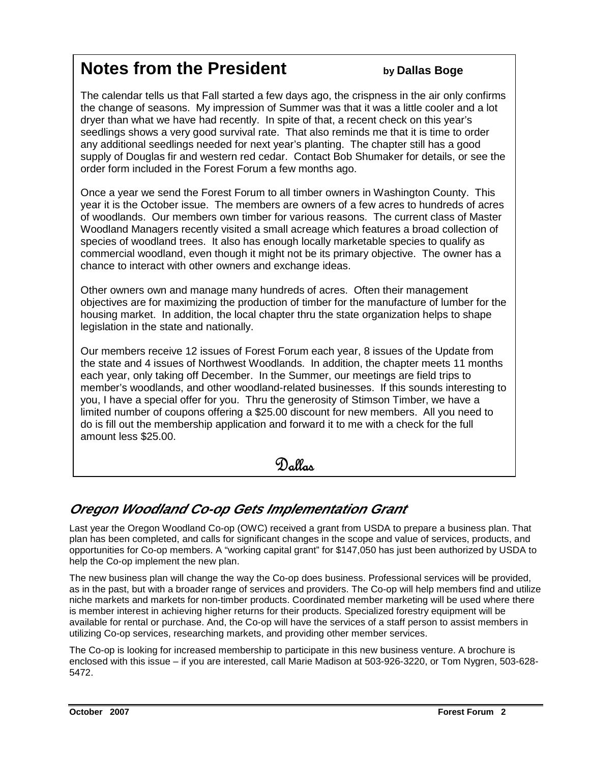### **Notes from the President by Dallas Boge**

The calendar tells us that Fall started a few days ago, the crispness in the air only confirms the change of seasons. My impression of Summer was that it was a little cooler and a lot dryer than what we have had recently. In spite of that, a recent check on this year's seedlings shows a very good survival rate. That also reminds me that it is time to order any additional seedlings needed for next year's planting. The chapter still has a good supply of Douglas fir and western red cedar. Contact Bob Shumaker for details, or see the order form included in the Forest Forum a few months ago.

Once a year we send the Forest Forum to all timber owners in Washington County. This year it is the October issue. The members are owners of a few acres to hundreds of acres of woodlands. Our members own timber for various reasons. The current class of Master Woodland Managers recently visited a small acreage which features a broad collection of species of woodland trees. It also has enough locally marketable species to qualify as commercial woodland, even though it might not be its primary objective. The owner has a chance to interact with other owners and exchange ideas.

Other owners own and manage many hundreds of acres. Often their management objectives are for maximizing the production of timber for the manufacture of lumber for the housing market. In addition, the local chapter thru the state organization helps to shape legislation in the state and nationally.

Our members receive 12 issues of Forest Forum each year, 8 issues of the Update from the state and 4 issues of Northwest Woodlands. In addition, the chapter meets 11 months each year, only taking off December. In the Summer, our meetings are field trips to member's woodlands, and other woodland-related businesses. If this sounds interesting to you, I have a special offer for you. Thru the generosity of Stimson Timber, we have a limited number of coupons offering a \$25.00 discount for new members. All you need to do is fill out the membership application and forward it to me with a check for the full amount less \$25.00.

Dallas

#### **Oregon Woodland Co-op Gets Implementation Grant**

Last year the Oregon Woodland Co-op (OWC) received a grant from USDA to prepare a business plan. That plan has been completed, and calls for significant changes in the scope and value of services, products, and opportunities for Co-op members. A "working capital grant" for \$147,050 has just been authorized by USDA to help the Co-op implement the new plan.

The new business plan will change the way the Co-op does business. Professional services will be provided, as in the past, but with a broader range of services and providers. The Co-op will help members find and utilize niche markets and markets for non-timber products. Coordinated member marketing will be used where there is member interest in achieving higher returns for their products. Specialized forestry equipment will be available for rental or purchase. And, the Co-op will have the services of a staff person to assist members in utilizing Co-op services, researching markets, and providing other member services.

The Co-op is looking for increased membership to participate in this new business venture. A brochure is enclosed with this issue – if you are interested, call Marie Madison at 503-926-3220, or Tom Nygren, 503-628- 5472.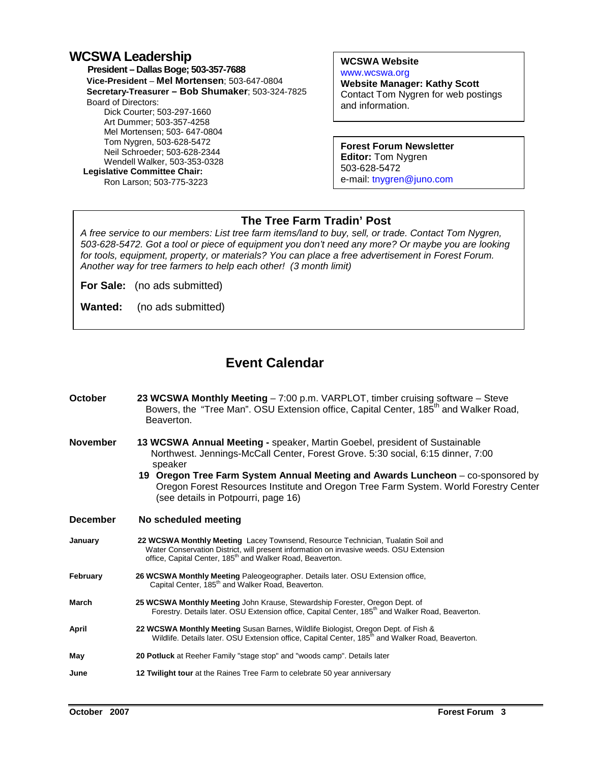#### **WCSWA Leadership**

 **President – Dallas Boge; 503-357-7688 Vice-President** – **Mel Mortensen**; 503-647-0804 **Secretary-Treasurer – Bob Shumaker**; 503-324-7825 Board of Directors: Dick Courter; 503-297-1660 Art Dummer; 503-357-4258 Mel Mortensen; 503- 647-0804 Tom Nygren, 503-628-5472 Neil Schroeder; 503-628-2344 Wendell Walker, 503-353-0328  **Legislative Committee Chair:**  Ron Larson; 503-775-3223

**WCSWA Website** www.wcswa.org

**Website Manager: Kathy Scott** Contact Tom Nygren for web postings and information.

**Forest Forum Newsletter Editor:** Tom Nygren 503-628-5472 e-mail: tnygren@juno.com

#### **The Tree Farm Tradin' Post**

 for tools, equipment, property, or materials? You can place a free advertisement in Forest Forum. A free service to our members: List tree farm items/land to buy, sell, or trade. Contact Tom Nygren, 503-628-5472. Got a tool or piece of equipment you don't need any more? Or maybe you are looking Another way for tree farmers to help each other! (3 month limit)

**For Sale:** (no ads submitted)

**Wanted:** (no ads submitted)

#### **Event Calendar**

| October         | 23 WCSWA Monthly Meeting - 7:00 p.m. VARPLOT, timber cruising software - Steve<br>Bowers, the "Tree Man". OSU Extension office, Capital Center, 185 <sup>th</sup> and Walker Road,<br>Beaverton.                                                                                                                                                                                           |  |  |
|-----------------|--------------------------------------------------------------------------------------------------------------------------------------------------------------------------------------------------------------------------------------------------------------------------------------------------------------------------------------------------------------------------------------------|--|--|
| <b>November</b> | 13 WCSWA Annual Meeting - speaker, Martin Goebel, president of Sustainable<br>Northwest. Jennings-McCall Center, Forest Grove. 5:30 social, 6:15 dinner, 7:00<br>speaker<br>19 Oregon Tree Farm System Annual Meeting and Awards Luncheon - co-sponsored by<br>Oregon Forest Resources Institute and Oregon Tree Farm System. World Forestry Center<br>(see details in Potpourri, page 16) |  |  |
| <b>December</b> | No scheduled meeting                                                                                                                                                                                                                                                                                                                                                                       |  |  |
| January         | 22 WCSWA Monthly Meeting Lacey Townsend, Resource Technician, Tualatin Soil and<br>Water Conservation District, will present information on invasive weeds. OSU Extension<br>office, Capital Center, 185 <sup>th</sup> and Walker Road, Beaverton.                                                                                                                                         |  |  |
| February        | 26 WCSWA Monthly Meeting Paleogeographer. Details later. OSU Extension office,<br>Capital Center, 185 <sup>th</sup> and Walker Road, Beaverton.                                                                                                                                                                                                                                            |  |  |
| March           | 25 WCSWA Monthly Meeting John Krause, Stewardship Forester, Oregon Dept. of<br>Forestry. Details later. OSU Extension office, Capital Center, 185 <sup>th</sup> and Walker Road, Beaverton.                                                                                                                                                                                                |  |  |
| April           | 22 WCSWA Monthly Meeting Susan Barnes, Wildlife Biologist, Oregon Dept. of Fish &<br>Wildlife. Details later. OSU Extension office, Capital Center, 185 <sup>th</sup> and Walker Road, Beaverton.                                                                                                                                                                                          |  |  |
| May             | 20 Potluck at Reeher Family "stage stop" and "woods camp". Details later                                                                                                                                                                                                                                                                                                                   |  |  |
| June            | 12 Twilight tour at the Raines Tree Farm to celebrate 50 year anniversary                                                                                                                                                                                                                                                                                                                  |  |  |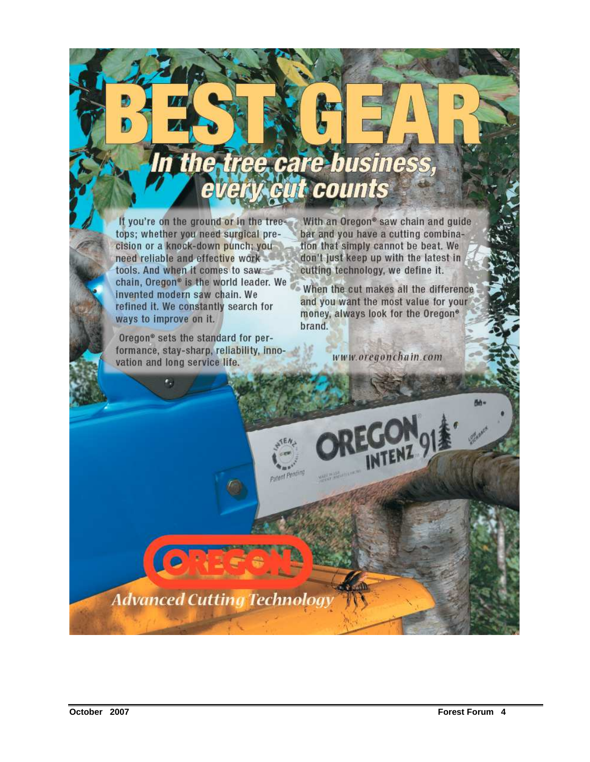# In the tree care business,

Patent Penning

If you're on the ground or in the trees tops; whether you need surgical precision or a knock-down punch; youneed reliable and effective work tools. And when it comes to saw chain, Oregon<sup>®</sup> is the world leader. We invented modern saw chain. We refined it. We constantly search for ways to improve on it.

Oregon<sup>®</sup> sets the standard for performance, stay-sharp, reliability, innovation and long service life.

With an Oregon® saw chain and guide bar and you have a cutting combination that simply cannot be beat. We don't just keep up with the latest in cutting technology, we define it.

When the cut makes all the difference and you want the most value for your money, always look for the Oregon<sup>®</sup> brand.

www.oregonchain.com

**Advanced Cutting Technology**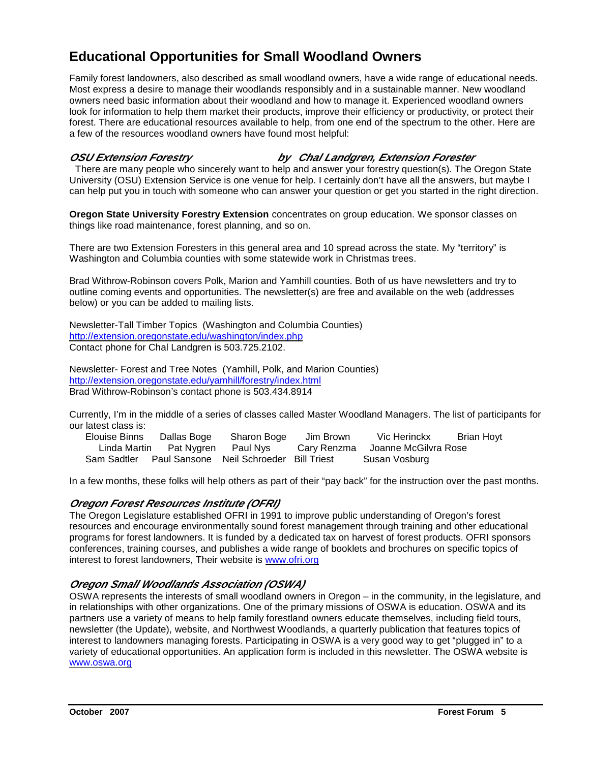#### **Educational Opportunities for Small Woodland Owners**

Family forest landowners, also described as small woodland owners, have a wide range of educational needs. Most express a desire to manage their woodlands responsibly and in a sustainable manner. New woodland owners need basic information about their woodland and how to manage it. Experienced woodland owners look for information to help them market their products, improve their efficiency or productivity, or protect their forest. There are educational resources available to help, from one end of the spectrum to the other. Here are a few of the resources woodland owners have found most helpful:

**OSU Extension Forestry by Chal Landgren, Extension Forester** 

 There are many people who sincerely want to help and answer your forestry question(s). The Oregon State University (OSU) Extension Service is one venue for help. I certainly don't have all the answers, but maybe I can help put you in touch with someone who can answer your question or get you started in the right direction.

**Oregon State University Forestry Extension** concentrates on group education. We sponsor classes on things like road maintenance, forest planning, and so on.

There are two Extension Foresters in this general area and 10 spread across the state. My "territory" is Washington and Columbia counties with some statewide work in Christmas trees.

Brad Withrow-Robinson covers Polk, Marion and Yamhill counties. Both of us have newsletters and try to outline coming events and opportunities. The newsletter(s) are free and available on the web (addresses below) or you can be added to mailing lists.

Newsletter-Tall Timber Topics (Washington and Columbia Counties) http://extension.oregonstate.edu/washington/index.php Contact phone for Chal Landgren is 503.725.2102.

Newsletter- Forest and Tree Notes (Yamhill, Polk, and Marion Counties) http://extension.oregonstate.edu/yamhill/forestry/index.html Brad Withrow-Robinson's contact phone is 503.434.8914

Currently, I'm in the middle of a series of classes called Master Woodland Managers. The list of participants for our latest class is:

| Elouise Binns | Dallas Boge                      | Sharon Boge                                         | Jim Brown | Vic Herinckx                     | Brian Hoyt |
|---------------|----------------------------------|-----------------------------------------------------|-----------|----------------------------------|------------|
|               | Linda Martin Pat Nygren Paul Nys |                                                     |           | Cary Renzma Joanne McGilvra Rose |            |
|               |                                  | Sam Sadtler Paul Sansone Neil Schroeder Bill Triest |           | Susan Vosburg                    |            |

In a few months, these folks will help others as part of their "pay back" for the instruction over the past months.

#### **Oregon Forest Resources Institute (OFRI)**

The Oregon Legislature established OFRI in 1991 to improve public understanding of Oregon's forest resources and encourage environmentally sound forest management through training and other educational programs for forest landowners. It is funded by a dedicated tax on harvest of forest products. OFRI sponsors conferences, training courses, and publishes a wide range of booklets and brochures on specific topics of interest to forest landowners, Their website is www.ofri.org

#### **Oregon Small Woodlands Association (OSWA)**

OSWA represents the interests of small woodland owners in Oregon – in the community, in the legislature, and in relationships with other organizations. One of the primary missions of OSWA is education. OSWA and its partners use a variety of means to help family forestland owners educate themselves, including field tours, newsletter (the Update), website, and Northwest Woodlands, a quarterly publication that features topics of interest to landowners managing forests. Participating in OSWA is a very good way to get "plugged in" to a variety of educational opportunities. An application form is included in this newsletter. The OSWA website is www.oswa.org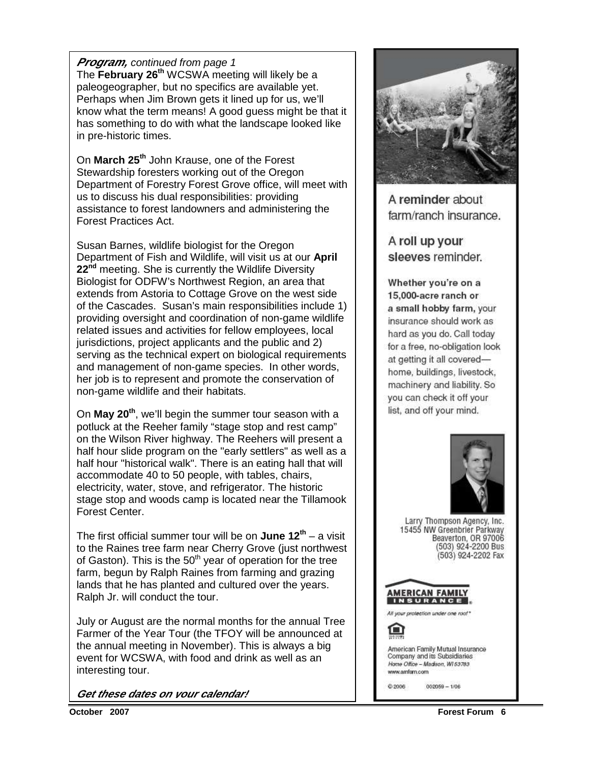#### **Program,** continued from page 1

The **February 26th** WCSWA meeting will likely be a paleogeographer, but no specifics are available yet. Perhaps when Jim Brown gets it lined up for us, we'll know what the term means! A good guess might be that it has something to do with what the landscape looked like in pre-historic times.

On **March 25th** John Krause, one of the Forest Stewardship foresters working out of the Oregon Department of Forestry Forest Grove office, will meet with us to discuss his dual responsibilities: providing assistance to forest landowners and administering the Forest Practices Act.

Susan Barnes, wildlife biologist for the Oregon Department of Fish and Wildlife, will visit us at our **April 22nd** meeting. She is currently the Wildlife Diversity Biologist for ODFW's Northwest Region, an area that extends from Astoria to Cottage Grove on the west side of the Cascades. Susan's main responsibilities include 1) providing oversight and coordination of non-game wildlife related issues and activities for fellow employees, local jurisdictions, project applicants and the public and 2) serving as the technical expert on biological requirements and management of non-game species. In other words, her job is to represent and promote the conservation of non-game wildlife and their habitats.

On **May 20th**, we'll begin the summer tour season with a potluck at the Reeher family "stage stop and rest camp" on the Wilson River highway. The Reehers will present a half hour slide program on the "early settlers" as well as a half hour "historical walk". There is an eating hall that will accommodate 40 to 50 people, with tables, chairs, electricity, water, stove, and refrigerator. The historic stage stop and woods camp is located near the Tillamook Forest Center.

The first official summer tour will be on **June 12th** – a visit to the Raines tree farm near Cherry Grove (just northwest of Gaston). This is the  $50<sup>th</sup>$  year of operation for the tree farm, begun by Ralph Raines from farming and grazing lands that he has planted and cultured over the years. Ralph Jr. will conduct the tour.

July or August are the normal months for the annual Tree Farmer of the Year Tour (the TFOY will be announced at the annual meeting in November). This is always a big event for WCSWA, with food and drink as well as an interesting tour.

**Get these dates on your calendar!**



A reminder about farm/ranch insurance.

A roll up your sleeves reminder.

Whether you're on a 15,000-acre ranch or a small hobby farm, your insurance should work as hard as you do. Call today for a free, no-obligation look at getting it all coveredhome, buildings, livestock, machinery and liability. So you can check it off your list, and off your mind.



Larry Thompson Agency, Inc. 15455 NW Greenbrier Parkway<br>Beaverton, OR 97006 (503) 924-2200 Bus (503) 924-2202 Fax



All your protection under one roof\*

American Family Mutual Insurance Company and its Subsidiaries Home Office - Madison, W153783 www.amfam.com

 $002059 - 1/06$ @2006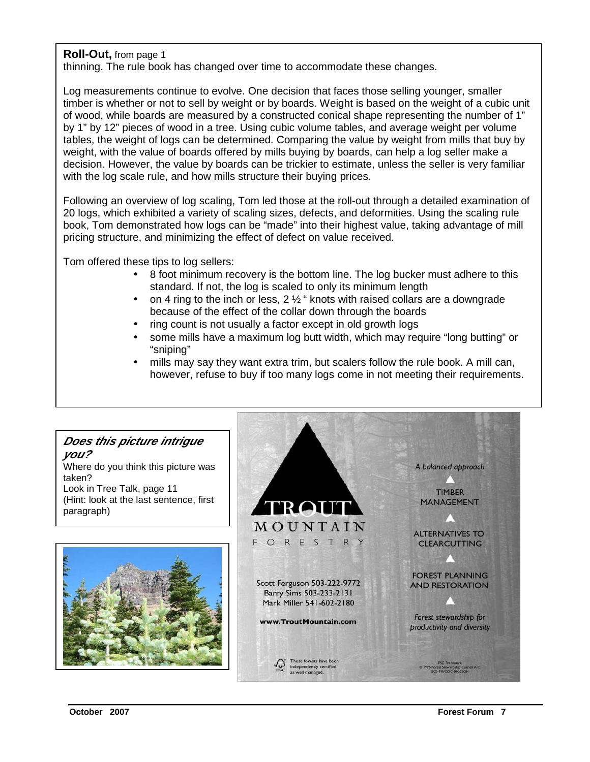#### **Roll-Out,** from page 1

thinning. The rule book has changed over time to accommodate these changes.

Log measurements continue to evolve. One decision that faces those selling younger, smaller timber is whether or not to sell by weight or by boards. Weight is based on the weight of a cubic unit of wood, while boards are measured by a constructed conical shape representing the number of 1" by 1" by 12" pieces of wood in a tree. Using cubic volume tables, and average weight per volume tables, the weight of logs can be determined. Comparing the value by weight from mills that buy by weight, with the value of boards offered by mills buying by boards, can help a log seller make a decision. However, the value by boards can be trickier to estimate, unless the seller is very familiar with the log scale rule, and how mills structure their buying prices.

Following an overview of log scaling, Tom led those at the roll-out through a detailed examination of 20 logs, which exhibited a variety of scaling sizes, defects, and deformities. Using the scaling rule book, Tom demonstrated how logs can be "made" into their highest value, taking advantage of mill pricing structure, and minimizing the effect of defect on value received.

Tom offered these tips to log sellers:

- 8 foot minimum recovery is the bottom line. The log bucker must adhere to this standard. If not, the log is scaled to only its minimum length
- on 4 ring to the inch or less,  $2\frac{1}{2}$  " knots with raised collars are a downgrade because of the effect of the collar down through the boards
- ring count is not usually a factor except in old growth logs
- some mills have a maximum log butt width, which may require "long butting" or "sniping"
- mills may say they want extra trim, but scalers follow the rule book. A mill can, however, refuse to buy if too many logs come in not meeting their requirements.

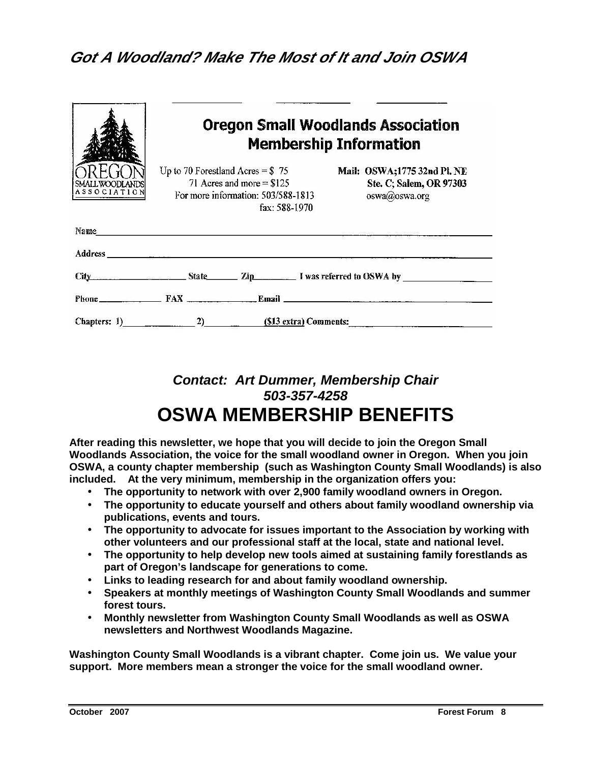#### **Got A Woodland? Make The Most of It and Join OSWA**

| ASSOCIATION | <b>Oregon Small Woodlands Association</b><br><b>Membership Information</b><br>Up to 70 Forestland Acres = $$75$<br>Mail: OSWA;1775 32nd Pl. NE<br>71 Acres and more $= $125$<br>Ste. C; Salem, OR 97303<br>For more information: 503/588-1813<br>oswa@oswa.org<br>fax: 588-1970 |
|-------------|---------------------------------------------------------------------------------------------------------------------------------------------------------------------------------------------------------------------------------------------------------------------------------|
|             |                                                                                                                                                                                                                                                                                 |
|             |                                                                                                                                                                                                                                                                                 |
|             | City State Zip I was referred to OSWA by                                                                                                                                                                                                                                        |
|             |                                                                                                                                                                                                                                                                                 |
|             | Chapters: 1) 2) $(\$13 \text{ extra})$ Comments:                                                                                                                                                                                                                                |

#### **Contact: Art Dummer, Membership Chair 503-357-4258 OSWA MEMBERSHIP BENEFITS**

**After reading this newsletter, we hope that you will decide to join the Oregon Small Woodlands Association, the voice for the small woodland owner in Oregon. When you join OSWA, a county chapter membership (such as Washington County Small Woodlands) is also included. At the very minimum, membership in the organization offers you:** 

- **The opportunity to network with over 2,900 family woodland owners in Oregon.**
- **The opportunity to educate yourself and others about family woodland ownership via publications, events and tours.**
- **The opportunity to advocate for issues important to the Association by working with other volunteers and our professional staff at the local, state and national level.**
- **The opportunity to help develop new tools aimed at sustaining family forestlands as part of Oregon's landscape for generations to come.**
- **Links to leading research for and about family woodland ownership.**
- **Speakers at monthly meetings of Washington County Small Woodlands and summer forest tours.**
- **Monthly newsletter from Washington County Small Woodlands as well as OSWA newsletters and Northwest Woodlands Magazine.**

**Washington County Small Woodlands is a vibrant chapter. Come join us. We value your support. More members mean a stronger the voice for the small woodland owner.**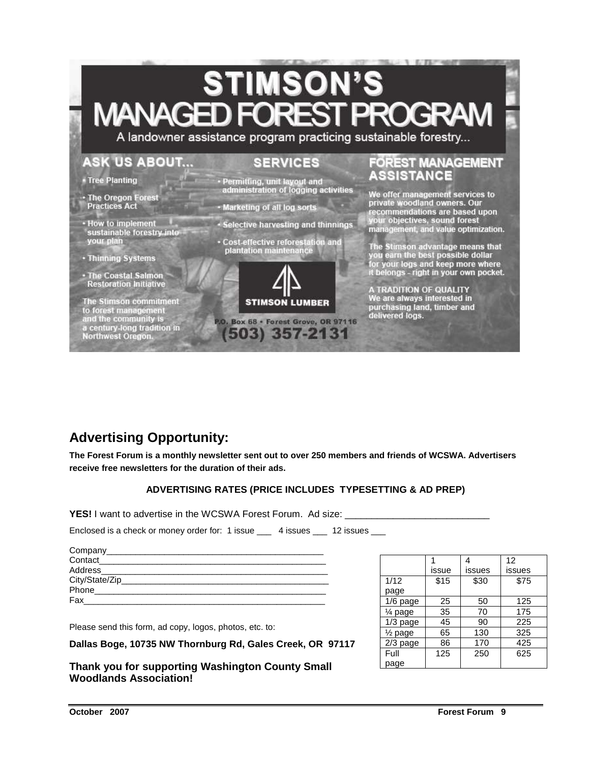## **STIMSON'S** MANAGFI

A landowner assistance program practicing sustainable forestry...

#### **ASK US ABOUT...**

#### **SERVICES**

- Tree Planting
- · The Oregon Forest **Practices Act**
- · How to implement<br>sustainable forestry into your plan
- Thinning Systems
- · The Coastal Salmon<br>Restoration Initiative

The Stimson commitment to forest management<br>and the community is<br>a century-long tradition in<br>Northwest Oregon.

- Permitting, unit layout and administration of logging activities
- Marketing of all log sorts
- · Selective harvesting and thinnings
- · Cost-effective reforestation and plantation maintenance



P.O. Box 68 · Forest Grove, OR 97116 (503) 357-2131

#### FOREST MANAGEMENT **ASSISTANCE**

We offer management services to<br>private woodland owners. Our<br>recommendations are based upon recommendations are based upon<br>your objectives, sound forest<br>management, and value optimization.

The Stimson advantage means that<br>you earn the best possible dollar<br>for your logs and keep more where<br>it belongs - right in your own pocket.

A TRADITION OF QUALITY<br>We are always interested in<br>purchasing land, timber and delivered logs.

#### **Advertising Opportunity:**

**The Forest Forum is a monthly newsletter sent out to over 250 members and friends of WCSWA. Advertisers receive free newsletters for the duration of their ads.** 

#### **ADVERTISING RATES (PRICE INCLUDES TYPESETTING & AD PREP)**

**YES!** I want to advertise in the WCSWA Forest Forum. Ad size:

Enclosed is a check or money order for: 1 issue \_\_\_\_ 4 issues \_\_\_ 12 issues

| Company _______________        |  |
|--------------------------------|--|
| Contact <b>Contact Contact</b> |  |
| Address______________          |  |
| City/State/Zip____             |  |
| Phone                          |  |
| Fax                            |  |

Please send this form, ad copy, logos, photos, etc. to:

**Dallas Boge, 10735 NW Thornburg Rd, Gales Creek, OR 97117** 

**Thank you for supporting Washington County Small Woodlands Association!** 

|                    |       |        | 12     |
|--------------------|-------|--------|--------|
|                    | issue | issues | issues |
| 1/12               | \$15  | \$30   | \$75   |
| page               |       |        |        |
| $1/6$ page         | 25    | 50     | 125    |
| $\frac{1}{4}$ page | 35    | 70     | 175    |
| $1/3$ page         | 45    | 90     | 225    |
| $\frac{1}{2}$ page | 65    | 130    | 325    |
| $2/3$ page         | 86    | 170    | 425    |
| Full               | 125   | 250    | 625    |
| page               |       |        |        |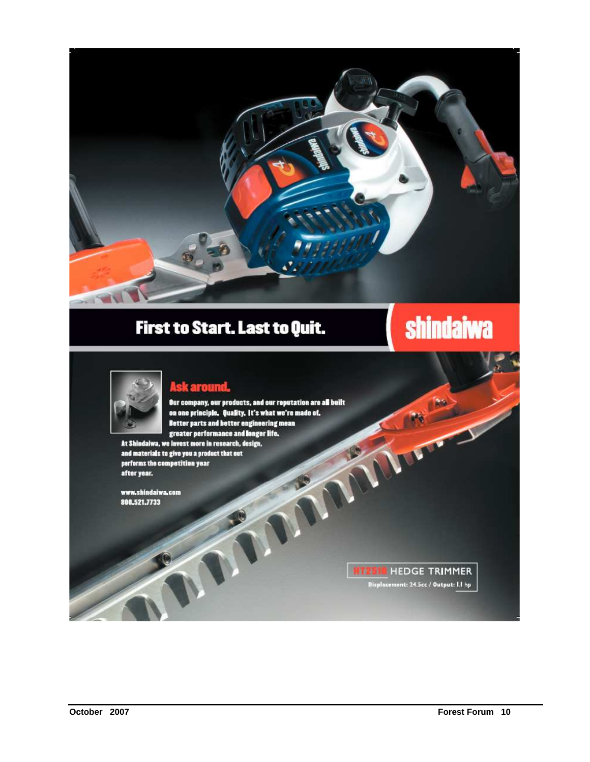

### First to Start. Last to Quit.

## **shindaiwa**



#### **Ask around.**

The Court of the Court Our company, our products, and our reputation are all built<br>on one principle. Quality. It's what we're made of. Better parts and better engineering mean greater performance and longer life. At Shindaiwa, we invest more in research, design,

and materials to give you a product that out performs the competition year after year.

www.shindaiwa.com 800.521.7733

> **HIZSIC HEDGE TRIMMER** Displacement: 24.5cc / Output: I.I hp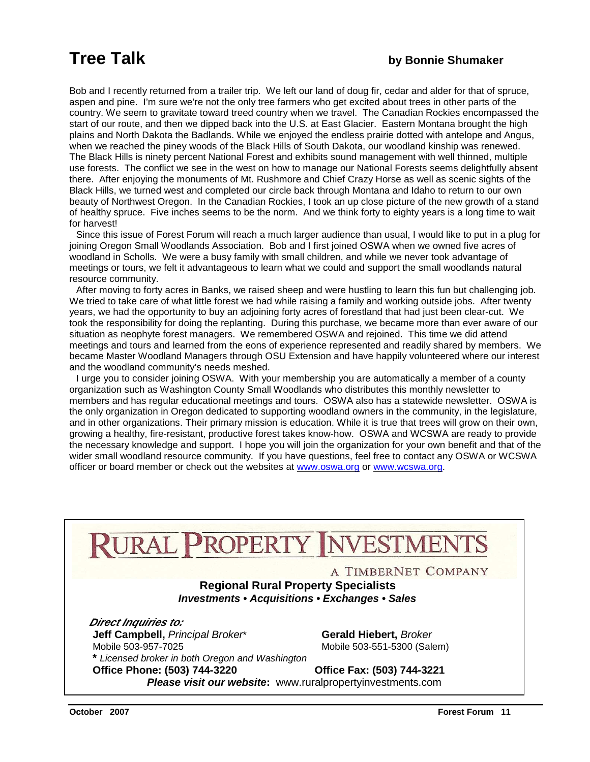Bob and I recently returned from a trailer trip. We left our land of doug fir, cedar and alder for that of spruce, aspen and pine. I'm sure we're not the only tree farmers who get excited about trees in other parts of the country. We seem to gravitate toward treed country when we travel. The Canadian Rockies encompassed the start of our route, and then we dipped back into the U.S. at East Glacier. Eastern Montana brought the high plains and North Dakota the Badlands. While we enjoyed the endless prairie dotted with antelope and Angus, when we reached the piney woods of the Black Hills of South Dakota, our woodland kinship was renewed. The Black Hills is ninety percent National Forest and exhibits sound management with well thinned, multiple use forests. The conflict we see in the west on how to manage our National Forests seems delightfully absent there. After enjoying the monuments of Mt. Rushmore and Chief Crazy Horse as well as scenic sights of the Black Hills, we turned west and completed our circle back through Montana and Idaho to return to our own beauty of Northwest Oregon. In the Canadian Rockies, I took an up close picture of the new growth of a stand of healthy spruce. Five inches seems to be the norm. And we think forty to eighty years is a long time to wait for harvest!

 Since this issue of Forest Forum will reach a much larger audience than usual, I would like to put in a plug for joining Oregon Small Woodlands Association. Bob and I first joined OSWA when we owned five acres of woodland in Scholls. We were a busy family with small children, and while we never took advantage of meetings or tours, we felt it advantageous to learn what we could and support the small woodlands natural resource community.

 After moving to forty acres in Banks, we raised sheep and were hustling to learn this fun but challenging job. We tried to take care of what little forest we had while raising a family and working outside jobs. After twenty years, we had the opportunity to buy an adjoining forty acres of forestland that had just been clear-cut. We took the responsibility for doing the replanting. During this purchase, we became more than ever aware of our situation as neophyte forest managers. We remembered OSWA and rejoined. This time we did attend meetings and tours and learned from the eons of experience represented and readily shared by members. We became Master Woodland Managers through OSU Extension and have happily volunteered where our interest and the woodland community's needs meshed.

 I urge you to consider joining OSWA. With your membership you are automatically a member of a county organization such as Washington County Small Woodlands who distributes this monthly newsletter to members and has regular educational meetings and tours. OSWA also has a statewide newsletter. OSWA is the only organization in Oregon dedicated to supporting woodland owners in the community, in the legislature, and in other organizations. Their primary mission is education. While it is true that trees will grow on their own, growing a healthy, fire-resistant, productive forest takes know-how. OSWA and WCSWA are ready to provide the necessary knowledge and support. I hope you will join the organization for your own benefit and that of the wider small woodland resource community. If you have questions, feel free to contact any OSWA or WCSWA officer or board member or check out the websites at www.oswa.org or www.wcswa.org.

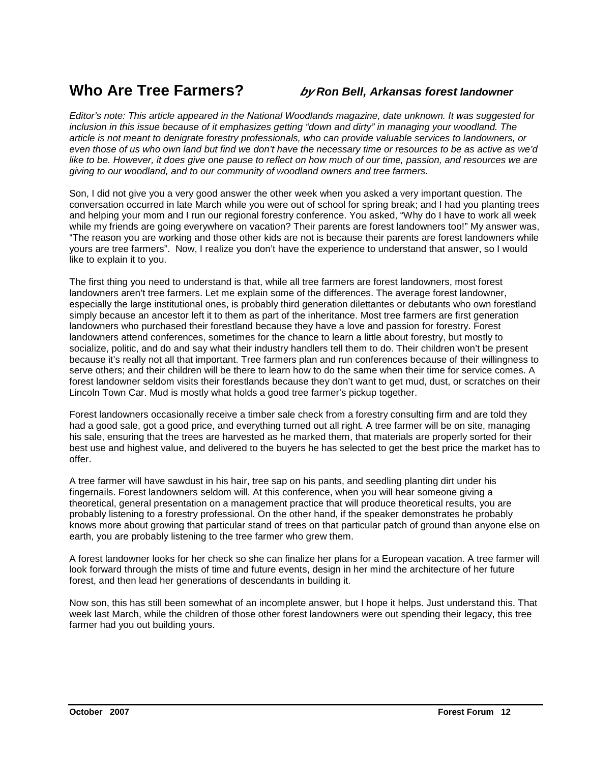#### **Who Are Tree Farmers? by Ron Bell, Arkansas forest landowner**

Editor's note: This article appeared in the National Woodlands magazine, date unknown. It was suggested for inclusion in this issue because of it emphasizes getting "down and dirty" in managing your woodland. The article is not meant to denigrate forestry professionals, who can provide valuable services to landowners, or even those of us who own land but find we don't have the necessary time or resources to be as active as we'd like to be. However, it does give one pause to reflect on how much of our time, passion, and resources we are giving to our woodland, and to our community of woodland owners and tree farmers.

Son, I did not give you a very good answer the other week when you asked a very important question. The conversation occurred in late March while you were out of school for spring break; and I had you planting trees and helping your mom and I run our regional forestry conference. You asked, "Why do I have to work all week while my friends are going everywhere on vacation? Their parents are forest landowners too!" My answer was, "The reason you are working and those other kids are not is because their parents are forest landowners while yours are tree farmers". Now, I realize you don't have the experience to understand that answer, so I would like to explain it to you.

The first thing you need to understand is that, while all tree farmers are forest landowners, most forest landowners aren't tree farmers. Let me explain some of the differences. The average forest landowner, especially the large institutional ones, is probably third generation dilettantes or debutants who own forestland simply because an ancestor left it to them as part of the inheritance. Most tree farmers are first generation landowners who purchased their forestland because they have a love and passion for forestry. Forest landowners attend conferences, sometimes for the chance to learn a little about forestry, but mostly to socialize, politic, and do and say what their industry handlers tell them to do. Their children won't be present because it's really not all that important. Tree farmers plan and run conferences because of their willingness to serve others; and their children will be there to learn how to do the same when their time for service comes. A forest landowner seldom visits their forestlands because they don't want to get mud, dust, or scratches on their Lincoln Town Car. Mud is mostly what holds a good tree farmer's pickup together.

Forest landowners occasionally receive a timber sale check from a forestry consulting firm and are told they had a good sale, got a good price, and everything turned out all right. A tree farmer will be on site, managing his sale, ensuring that the trees are harvested as he marked them, that materials are properly sorted for their best use and highest value, and delivered to the buyers he has selected to get the best price the market has to offer.

A tree farmer will have sawdust in his hair, tree sap on his pants, and seedling planting dirt under his fingernails. Forest landowners seldom will. At this conference, when you will hear someone giving a theoretical, general presentation on a management practice that will produce theoretical results, you are probably listening to a forestry professional. On the other hand, if the speaker demonstrates he probably knows more about growing that particular stand of trees on that particular patch of ground than anyone else on earth, you are probably listening to the tree farmer who grew them.

A forest landowner looks for her check so she can finalize her plans for a European vacation. A tree farmer will look forward through the mists of time and future events, design in her mind the architecture of her future forest, and then lead her generations of descendants in building it.

Now son, this has still been somewhat of an incomplete answer, but I hope it helps. Just understand this. That week last March, while the children of those other forest landowners were out spending their legacy, this tree farmer had you out building yours.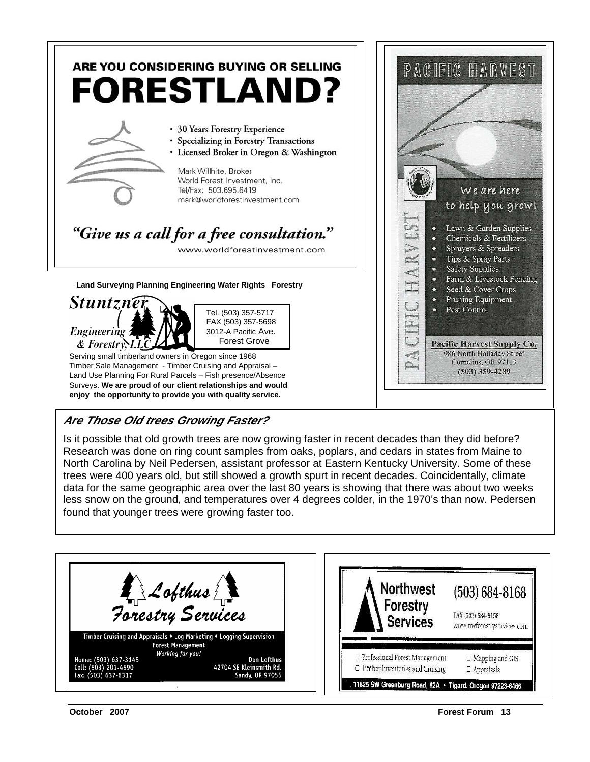

#### **Are Those Old trees Growing Faster?**

Is it possible that old growth trees are now growing faster in recent decades than they did before? Research was done on ring count samples from oaks, poplars, and cedars in states from Maine to North Carolina by Neil Pedersen, assistant professor at Eastern Kentucky University. Some of these trees were 400 years old, but still showed a growth spurt in recent decades. Coincidentally, climate data for the same geographic area over the last 80 years is showing that there was about two weeks less snow on the ground, and temperatures over 4 degrees colder, in the 1970's than now. Pedersen found that younger trees were growing faster too.

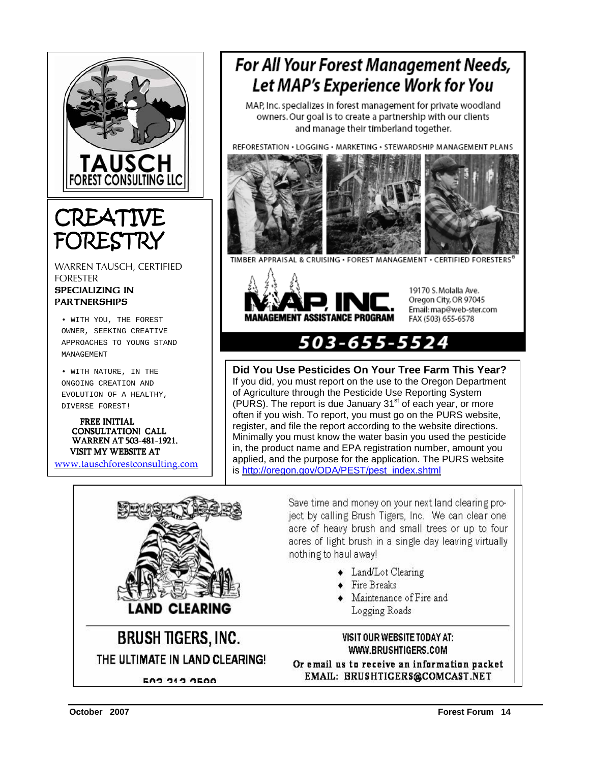

### **CREATIVE** FOREST

WARREN TAUSCH, CERTIFIED FORESTER SPECIALIZING IN **PARTNERSHIPS** 

• WITH YOU, THE FOREST OWNER, SEEKING CREATIVE APPROACHES TO YOUNG STAND MANAGEMENT

• WITH NATURE, IN THE ONGOING CREATION AND EVOLUTION OF A HEALTHY, DIVERSE FOREST!

 FREE INITIAL CONSULTATION! CALL WARREN AT 503-481-1921. VISIT MY WEBSITE AT

www.tauschforestconsulting.com

### **For All Your Forest Management Needs,** Let MAP's Experience Work for You

MAP, Inc. specializes in forest management for private woodland owners. Our goal is to create a partnership with our clients and manage their timberland together.

REFORESTATION . LOGGING . MARKETING . STEWARDSHIP MANAGEMENT PLANS



TIMBER APPRAISAL & CRUISING . FOREST MANAGEMENT . CERTIFIED FORESTERS



19170 S. Molalla Ave. Oregon City, OR 97045 Email: map@web-ster.com FAX (503) 655-6578

#### 503-655-5524

**Did You Use Pesticides On Your Tree Farm This Year?**

If you did, you must report on the use to the Oregon Department of Agriculture through the Pesticide Use Reporting System  $(PURS)$ . The report is due January 31 $^{\rm st}$  of each year, or more often if you wish. To report, you must go on the PURS website, register, and file the report according to the website directions. Minimally you must know the water basin you used the pesticide in, the product name and EPA registration number, amount you applied, and the purpose for the application. The PURS website is http://oregon.gov/ODA/PEST/pest\_index.shtml



**BRUSH TIGERS, INC.** THE ULTIMATE IN LAND CLEARING!

Save time and money on your next land clearing project by calling Brush Tigers, Inc. We can clear one acre of heavy brush and small trees or up to four acres of light brush in a single day leaving virtually nothing to haul away!

- Land/Lot Clearing
- $\bullet$  Fire Breaks
- Maintenance of Fire and
	- Logging Roads

VISIT OUR WEBSITE TODAY AT: WWW.BRUSHTIGERS.COM

Or email us to receive an information packet EMAIL: BRUSHTIGERS@COMCAST.NET

**E03 313 3500**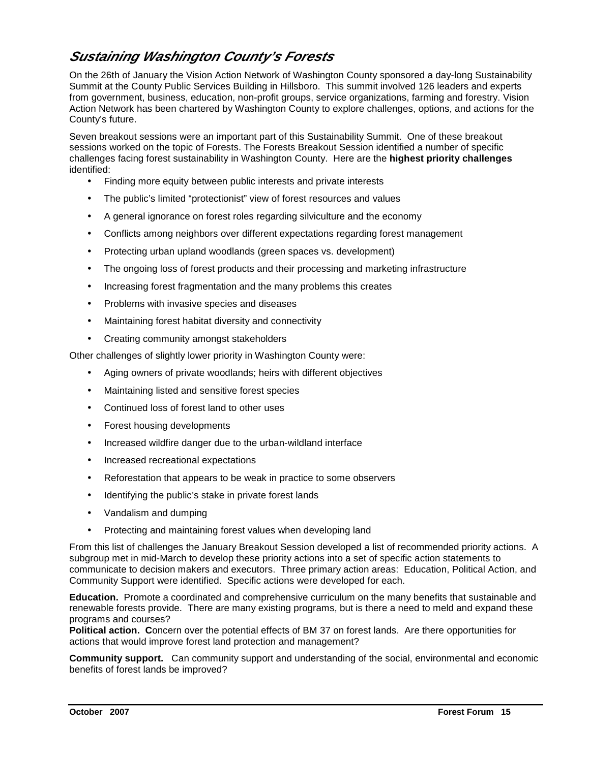#### **Sustaining Washington County's Forests**

On the 26th of January the Vision Action Network of Washington County sponsored a day-long Sustainability Summit at the County Public Services Building in Hillsboro. This summit involved 126 leaders and experts from government, business, education, non-profit groups, service organizations, farming and forestry. Vision Action Network has been chartered by Washington County to explore challenges, options, and actions for the County's future.

Seven breakout sessions were an important part of this Sustainability Summit. One of these breakout sessions worked on the topic of Forests. The Forests Breakout Session identified a number of specific challenges facing forest sustainability in Washington County. Here are the **highest priority challenges** identified:

- Finding more equity between public interests and private interests
- The public's limited "protectionist" view of forest resources and values
- A general ignorance on forest roles regarding silviculture and the economy
- Conflicts among neighbors over different expectations regarding forest management
- Protecting urban upland woodlands (green spaces vs. development)
- The ongoing loss of forest products and their processing and marketing infrastructure
- Increasing forest fragmentation and the many problems this creates
- Problems with invasive species and diseases
- Maintaining forest habitat diversity and connectivity
- Creating community amongst stakeholders

Other challenges of slightly lower priority in Washington County were:

- Aging owners of private woodlands; heirs with different objectives
- Maintaining listed and sensitive forest species
- Continued loss of forest land to other uses
- Forest housing developments
- Increased wildfire danger due to the urban-wildland interface
- Increased recreational expectations
- Reforestation that appears to be weak in practice to some observers
- Identifying the public's stake in private forest lands
- Vandalism and dumping
- Protecting and maintaining forest values when developing land

From this list of challenges the January Breakout Session developed a list of recommended priority actions. A subgroup met in mid-March to develop these priority actions into a set of specific action statements to communicate to decision makers and executors. Three primary action areas: Education, Political Action, and Community Support were identified. Specific actions were developed for each.

**Education.** Promote a coordinated and comprehensive curriculum on the many benefits that sustainable and renewable forests provide. There are many existing programs, but is there a need to meld and expand these programs and courses?

**Political action. C**oncern over the potential effects of BM 37 on forest lands. Are there opportunities for actions that would improve forest land protection and management?

**Community support.** Can community support and understanding of the social, environmental and economic benefits of forest lands be improved?